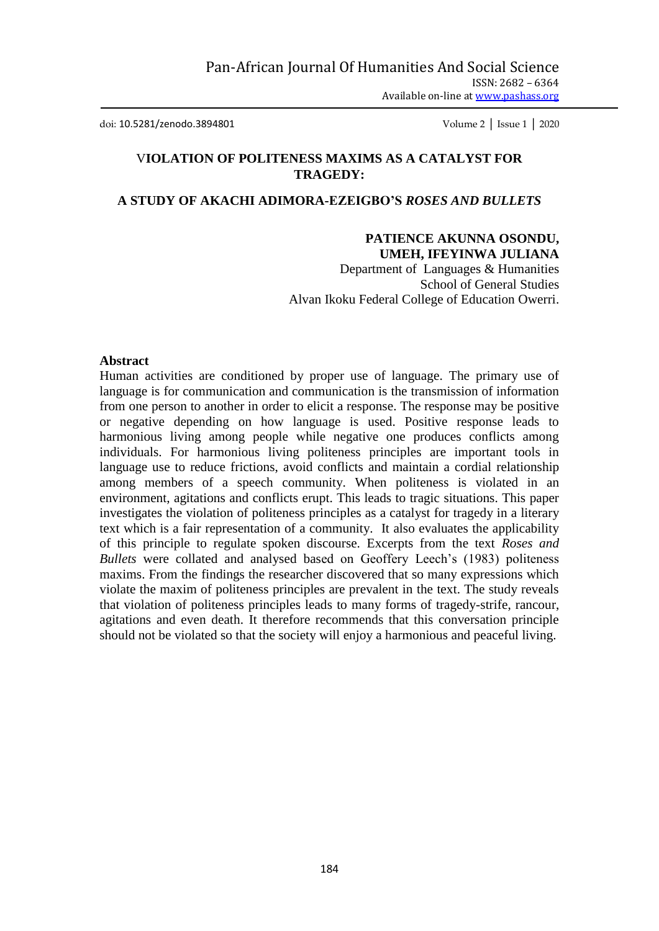doi: 10.5281/zenodo.3894801 Volume 2 │ Issue 1 │ 2020

### V**IOLATION OF POLITENESS MAXIMS AS A CATALYST FOR TRAGEDY:**

## **A STUDY OF AKACHI ADIMORA-EZEIGBO'S** *ROSES AND BULLETS*

#### **PATIENCE AKUNNA OSONDU, UMEH, IFEYINWA JULIANA**

Department of Languages & Humanities School of General Studies Alvan Ikoku Federal College of Education Owerri.

#### **Abstract**

Human activities are conditioned by proper use of language. The primary use of language is for communication and communication is the transmission of information from one person to another in order to elicit a response. The response may be positive or negative depending on how language is used. Positive response leads to harmonious living among people while negative one produces conflicts among individuals. For harmonious living politeness principles are important tools in language use to reduce frictions, avoid conflicts and maintain a cordial relationship among members of a speech community. When politeness is violated in an environment, agitations and conflicts erupt. This leads to tragic situations. This paper investigates the violation of politeness principles as a catalyst for tragedy in a literary text which is a fair representation of a community. It also evaluates the applicability of this principle to regulate spoken discourse. Excerpts from the text *Roses and Bullets* were collated and analysed based on Geoffery Leech's (1983) politeness maxims. From the findings the researcher discovered that so many expressions which violate the maxim of politeness principles are prevalent in the text. The study reveals that violation of politeness principles leads to many forms of tragedy-strife, rancour, agitations and even death. It therefore recommends that this conversation principle should not be violated so that the society will enjoy a harmonious and peaceful living.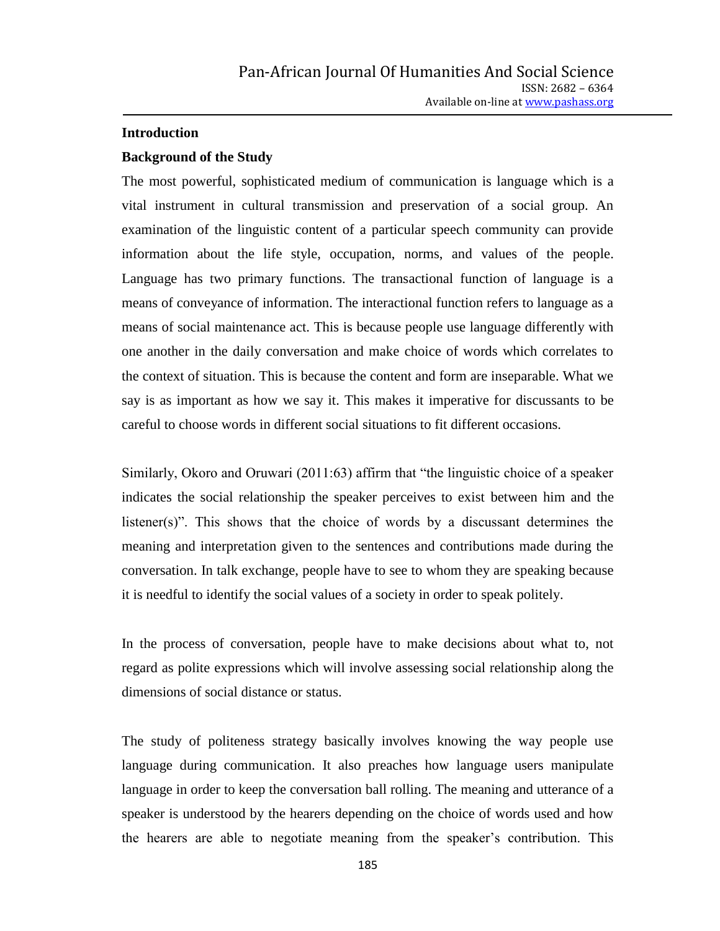#### **Introduction**

#### **Background of the Study**

The most powerful, sophisticated medium of communication is language which is a vital instrument in cultural transmission and preservation of a social group. An examination of the linguistic content of a particular speech community can provide information about the life style, occupation, norms, and values of the people. Language has two primary functions. The transactional function of language is a means of conveyance of information. The interactional function refers to language as a means of social maintenance act. This is because people use language differently with one another in the daily conversation and make choice of words which correlates to the context of situation. This is because the content and form are inseparable. What we say is as important as how we say it. This makes it imperative for discussants to be careful to choose words in different social situations to fit different occasions.

Similarly, Okoro and Oruwari (2011:63) affirm that "the linguistic choice of a speaker indicates the social relationship the speaker perceives to exist between him and the listener(s)". This shows that the choice of words by a discussant determines the meaning and interpretation given to the sentences and contributions made during the conversation. In talk exchange, people have to see to whom they are speaking because it is needful to identify the social values of a society in order to speak politely.

In the process of conversation, people have to make decisions about what to, not regard as polite expressions which will involve assessing social relationship along the dimensions of social distance or status.

The study of politeness strategy basically involves knowing the way people use language during communication. It also preaches how language users manipulate language in order to keep the conversation ball rolling. The meaning and utterance of a speaker is understood by the hearers depending on the choice of words used and how the hearers are able to negotiate meaning from the speaker"s contribution. This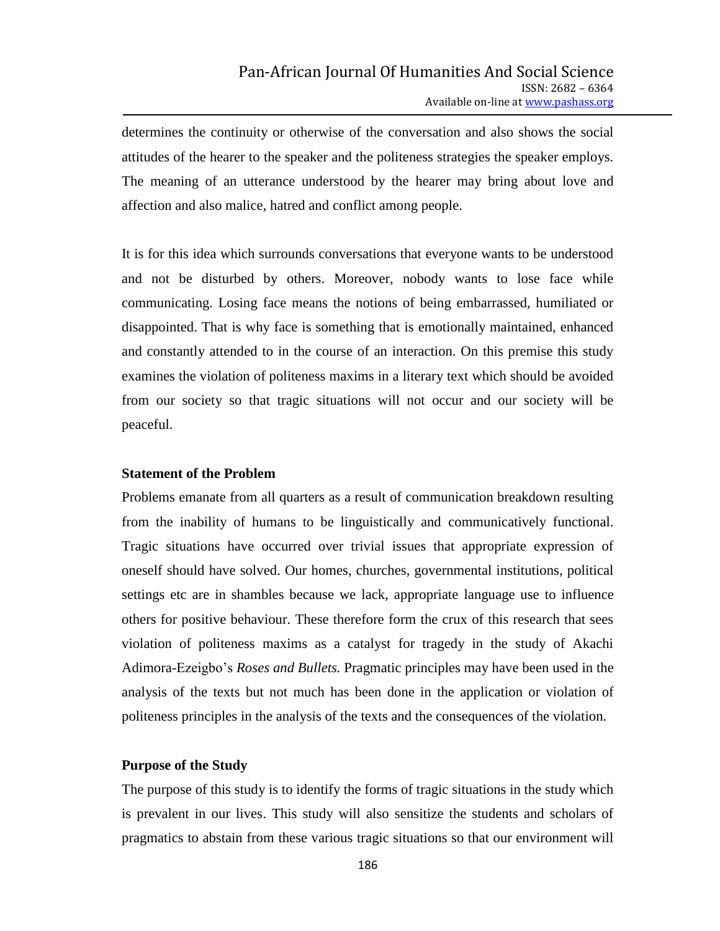determines the continuity or otherwise of the conversation and also shows the social attitudes of the hearer to the speaker and the politeness strategies the speaker employs. The meaning of an utterance understood by the hearer may bring about love and affection and also malice, hatred and conflict among people.

It is for this idea which surrounds conversations that everyone wants to be understood and not be disturbed by others. Moreover, nobody wants to lose face while communicating. Losing face means the notions of being embarrassed, humiliated or disappointed. That is why face is something that is emotionally maintained, enhanced and constantly attended to in the course of an interaction. On this premise this study examines the violation of politeness maxims in a literary text which should be avoided from our society so that tragic situations will not occur and our society will be peaceful.

#### **Statement of the Problem**

Problems emanate from all quarters as a result of communication breakdown resulting from the inability of humans to be linguistically and communicatively functional. Tragic situations have occurred over trivial issues that appropriate expression of oneself should have solved. Our homes, churches, governmental institutions, political settings etc are in shambles because we lack, appropriate language use to influence others for positive behaviour. These therefore form the crux of this research that sees violation of politeness maxims as a catalyst for tragedy in the study of Akachi Adimora-Ezeigbo"s *Roses and Bullets.* Pragmatic principles may have been used in the analysis of the texts but not much has been done in the application or violation of politeness principles in the analysis of the texts and the consequences of the violation.

#### **Purpose of the Study**

The purpose of this study is to identify the forms of tragic situations in the study which is prevalent in our lives. This study will also sensitize the students and scholars of pragmatics to abstain from these various tragic situations so that our environment will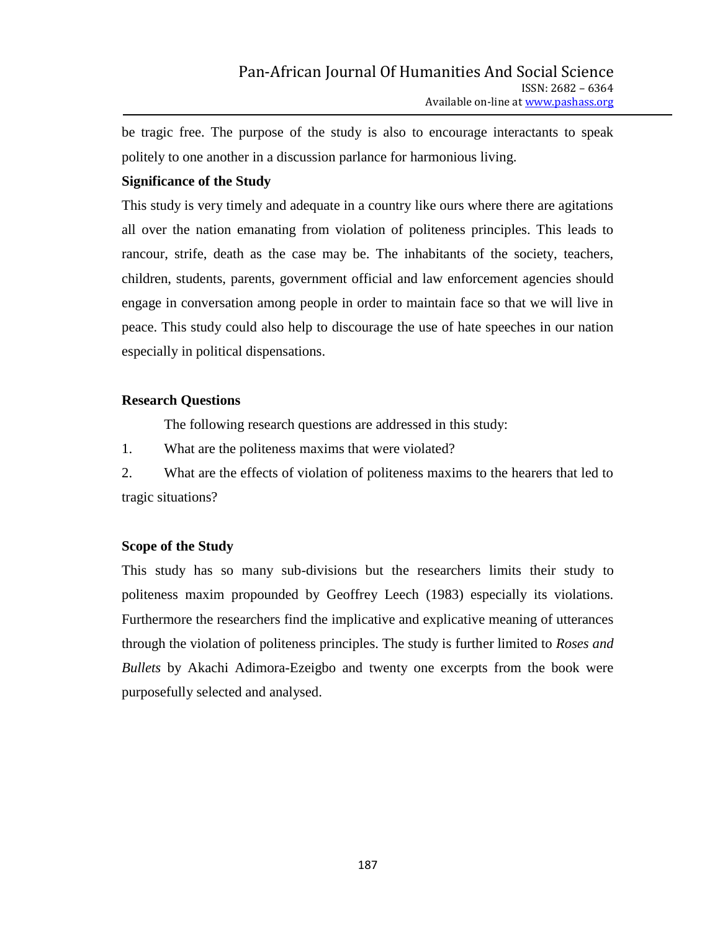be tragic free. The purpose of the study is also to encourage interactants to speak politely to one another in a discussion parlance for harmonious living.

## **Significance of the Study**

This study is very timely and adequate in a country like ours where there are agitations all over the nation emanating from violation of politeness principles. This leads to rancour, strife, death as the case may be. The inhabitants of the society, teachers, children, students, parents, government official and law enforcement agencies should engage in conversation among people in order to maintain face so that we will live in peace. This study could also help to discourage the use of hate speeches in our nation especially in political dispensations.

### **Research Questions**

The following research questions are addressed in this study:

1. What are the politeness maxims that were violated?

2. What are the effects of violation of politeness maxims to the hearers that led to tragic situations?

## **Scope of the Study**

This study has so many sub-divisions but the researchers limits their study to politeness maxim propounded by Geoffrey Leech (1983) especially its violations. Furthermore the researchers find the implicative and explicative meaning of utterances through the violation of politeness principles. The study is further limited to *Roses and Bullets* by Akachi Adimora-Ezeigbo and twenty one excerpts from the book were purposefully selected and analysed.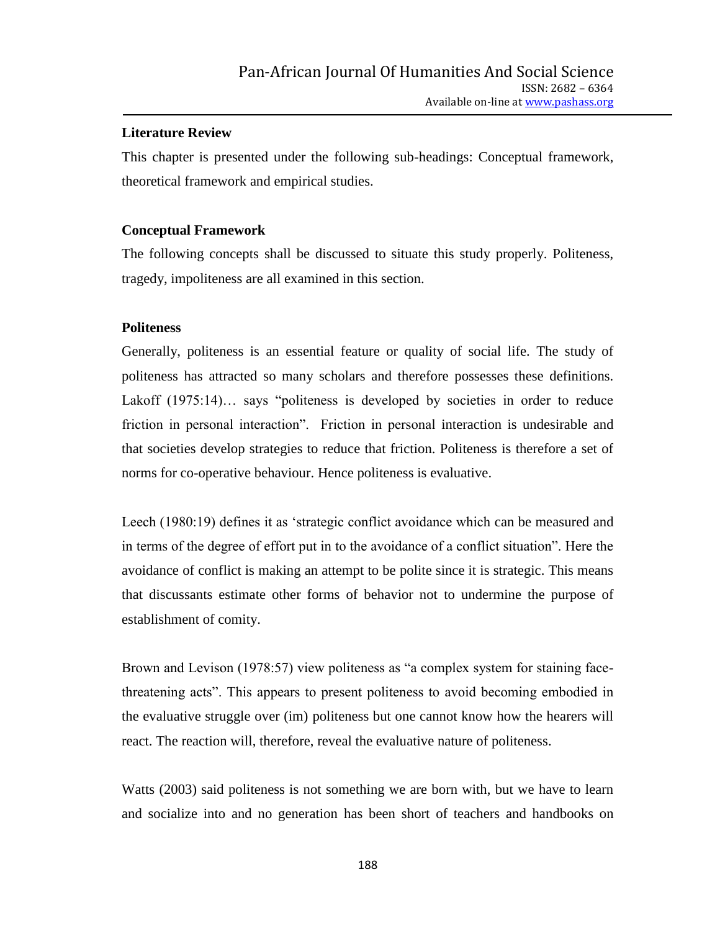## **Literature Review**

This chapter is presented under the following sub-headings: Conceptual framework, theoretical framework and empirical studies.

### **Conceptual Framework**

The following concepts shall be discussed to situate this study properly. Politeness, tragedy, impoliteness are all examined in this section.

### **Politeness**

Generally, politeness is an essential feature or quality of social life. The study of politeness has attracted so many scholars and therefore possesses these definitions. Lakoff (1975:14)... says "politeness is developed by societies in order to reduce friction in personal interaction". Friction in personal interaction is undesirable and that societies develop strategies to reduce that friction. Politeness is therefore a set of norms for co-operative behaviour. Hence politeness is evaluative.

Leech (1980:19) defines it as "strategic conflict avoidance which can be measured and in terms of the degree of effort put in to the avoidance of a conflict situation". Here the avoidance of conflict is making an attempt to be polite since it is strategic. This means that discussants estimate other forms of behavior not to undermine the purpose of establishment of comity.

Brown and Levison (1978:57) view politeness as "a complex system for staining facethreatening acts". This appears to present politeness to avoid becoming embodied in the evaluative struggle over (im) politeness but one cannot know how the hearers will react. The reaction will, therefore, reveal the evaluative nature of politeness.

Watts (2003) said politeness is not something we are born with, but we have to learn and socialize into and no generation has been short of teachers and handbooks on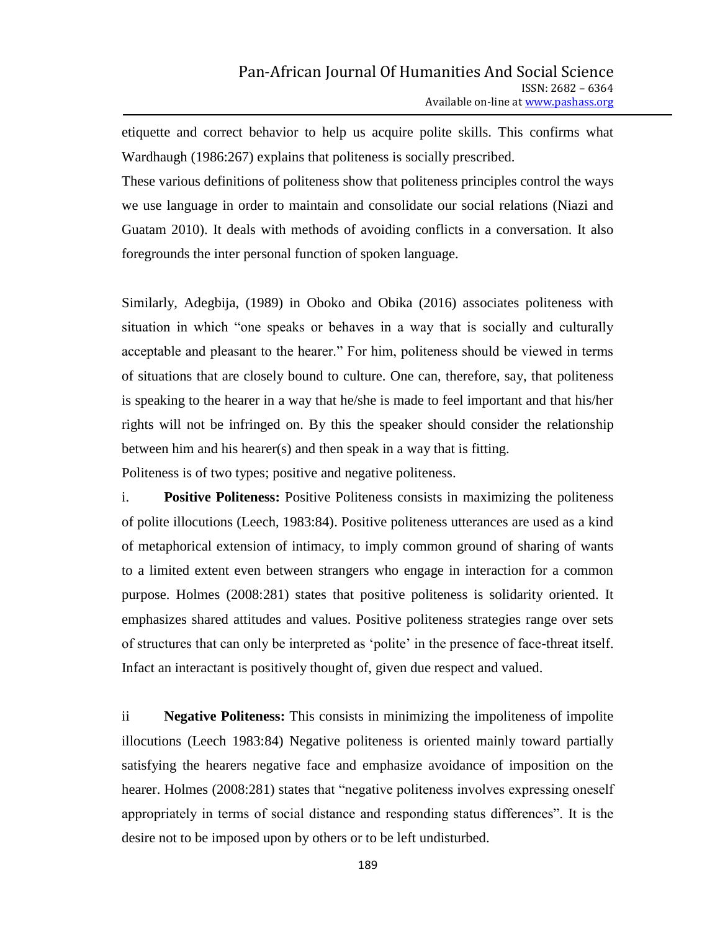etiquette and correct behavior to help us acquire polite skills. This confirms what Wardhaugh (1986:267) explains that politeness is socially prescribed.

These various definitions of politeness show that politeness principles control the ways we use language in order to maintain and consolidate our social relations (Niazi and Guatam 2010). It deals with methods of avoiding conflicts in a conversation. It also foregrounds the inter personal function of spoken language.

Similarly, Adegbija, (1989) in Oboko and Obika (2016) associates politeness with situation in which "one speaks or behaves in a way that is socially and culturally acceptable and pleasant to the hearer." For him, politeness should be viewed in terms of situations that are closely bound to culture. One can, therefore, say, that politeness is speaking to the hearer in a way that he/she is made to feel important and that his/her rights will not be infringed on. By this the speaker should consider the relationship between him and his hearer(s) and then speak in a way that is fitting.

Politeness is of two types; positive and negative politeness.

i. **Positive Politeness:** Positive Politeness consists in maximizing the politeness of polite illocutions (Leech, 1983:84). Positive politeness utterances are used as a kind of metaphorical extension of intimacy, to imply common ground of sharing of wants to a limited extent even between strangers who engage in interaction for a common purpose. Holmes (2008:281) states that positive politeness is solidarity oriented. It emphasizes shared attitudes and values. Positive politeness strategies range over sets of structures that can only be interpreted as "polite" in the presence of face-threat itself. Infact an interactant is positively thought of, given due respect and valued.

ii **Negative Politeness:** This consists in minimizing the impoliteness of impolite illocutions (Leech 1983:84) Negative politeness is oriented mainly toward partially satisfying the hearers negative face and emphasize avoidance of imposition on the hearer. Holmes (2008:281) states that "negative politeness involves expressing oneself appropriately in terms of social distance and responding status differences". It is the desire not to be imposed upon by others or to be left undisturbed.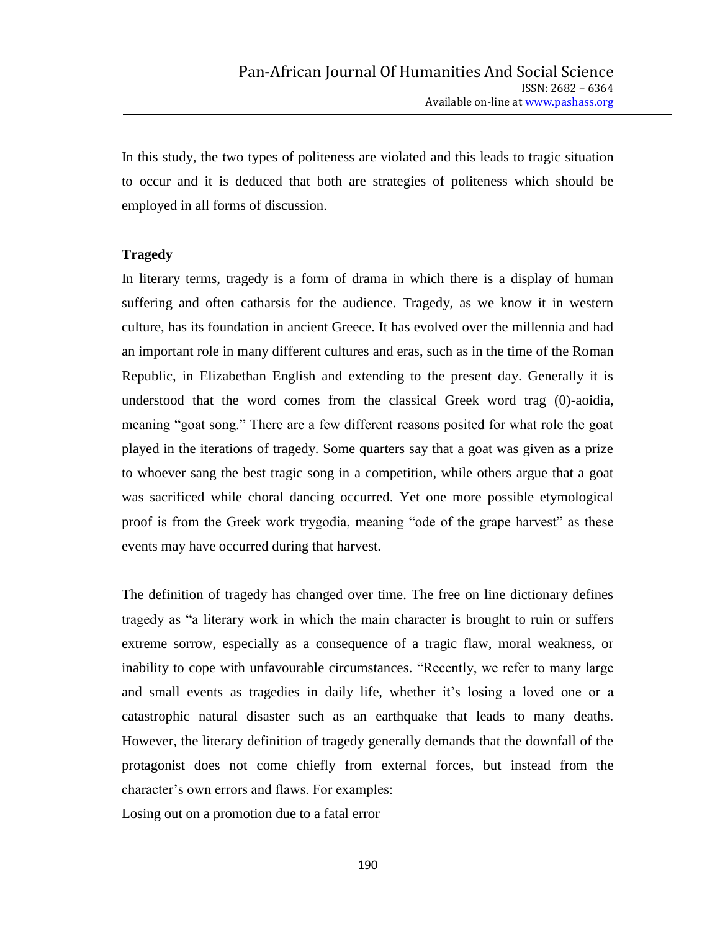In this study, the two types of politeness are violated and this leads to tragic situation to occur and it is deduced that both are strategies of politeness which should be employed in all forms of discussion.

#### **Tragedy**

In literary terms, tragedy is a form of drama in which there is a display of human suffering and often catharsis for the audience. Tragedy, as we know it in western culture, has its foundation in ancient Greece. It has evolved over the millennia and had an important role in many different cultures and eras, such as in the time of the Roman Republic, in Elizabethan English and extending to the present day. Generally it is understood that the word comes from the classical Greek word trag (0)-aoidia, meaning "goat song." There are a few different reasons posited for what role the goat played in the iterations of tragedy. Some quarters say that a goat was given as a prize to whoever sang the best tragic song in a competition, while others argue that a goat was sacrificed while choral dancing occurred. Yet one more possible etymological proof is from the Greek work trygodia, meaning "ode of the grape harvest" as these events may have occurred during that harvest.

The definition of tragedy has changed over time. The free on line dictionary defines tragedy as "a literary work in which the main character is brought to ruin or suffers extreme sorrow, especially as a consequence of a tragic flaw, moral weakness, or inability to cope with unfavourable circumstances. "Recently, we refer to many large and small events as tragedies in daily life, whether it's losing a loved one or a catastrophic natural disaster such as an earthquake that leads to many deaths. However, the literary definition of tragedy generally demands that the downfall of the protagonist does not come chiefly from external forces, but instead from the character"s own errors and flaws. For examples:

Losing out on a promotion due to a fatal error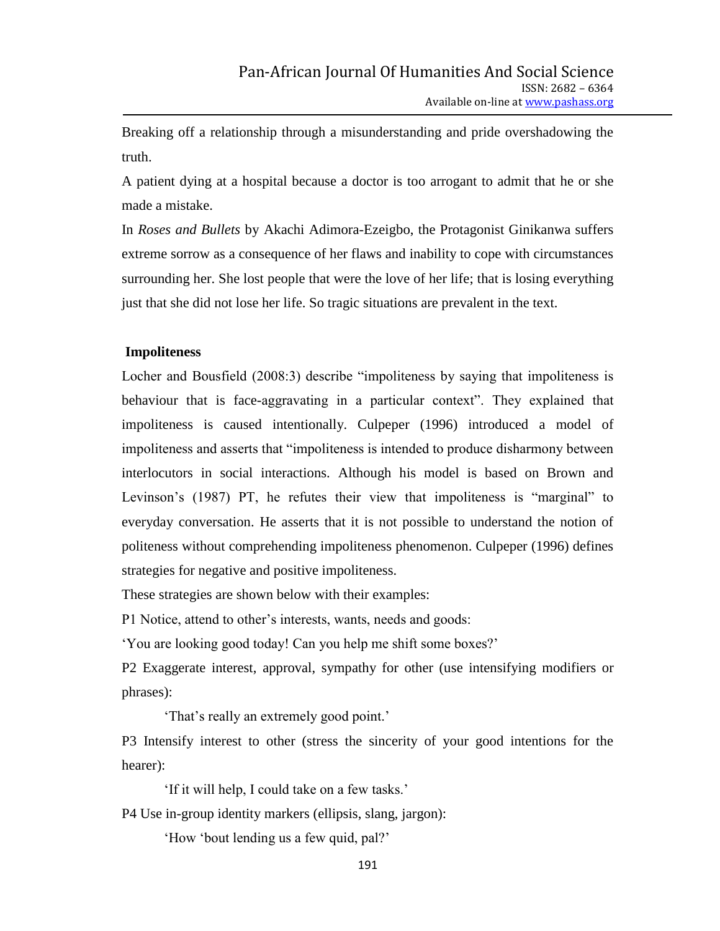Breaking off a relationship through a misunderstanding and pride overshadowing the truth.

A patient dying at a hospital because a doctor is too arrogant to admit that he or she made a mistake.

In *Roses and Bullets* by Akachi Adimora-Ezeigbo, the Protagonist Ginikanwa suffers extreme sorrow as a consequence of her flaws and inability to cope with circumstances surrounding her. She lost people that were the love of her life; that is losing everything just that she did not lose her life. So tragic situations are prevalent in the text.

#### **Impoliteness**

Locher and Bousfield (2008:3) describe "impoliteness by saying that impoliteness is behaviour that is face-aggravating in a particular context". They explained that impoliteness is caused intentionally. Culpeper (1996) introduced a model of impoliteness and asserts that "impoliteness is intended to produce disharmony between interlocutors in social interactions. Although his model is based on Brown and Levinson's (1987) PT, he refutes their view that impoliteness is "marginal" to everyday conversation. He asserts that it is not possible to understand the notion of politeness without comprehending impoliteness phenomenon. Culpeper (1996) defines strategies for negative and positive impoliteness.

These strategies are shown below with their examples:

P1 Notice, attend to other"s interests, wants, needs and goods:

"You are looking good today! Can you help me shift some boxes?"

P2 Exaggerate interest, approval, sympathy for other (use intensifying modifiers or phrases):

"That's really an extremely good point."

P3 Intensify interest to other (stress the sincerity of your good intentions for the hearer):

"If it will help, I could take on a few tasks."

P4 Use in-group identity markers (ellipsis, slang, jargon):

"How "bout lending us a few quid, pal?"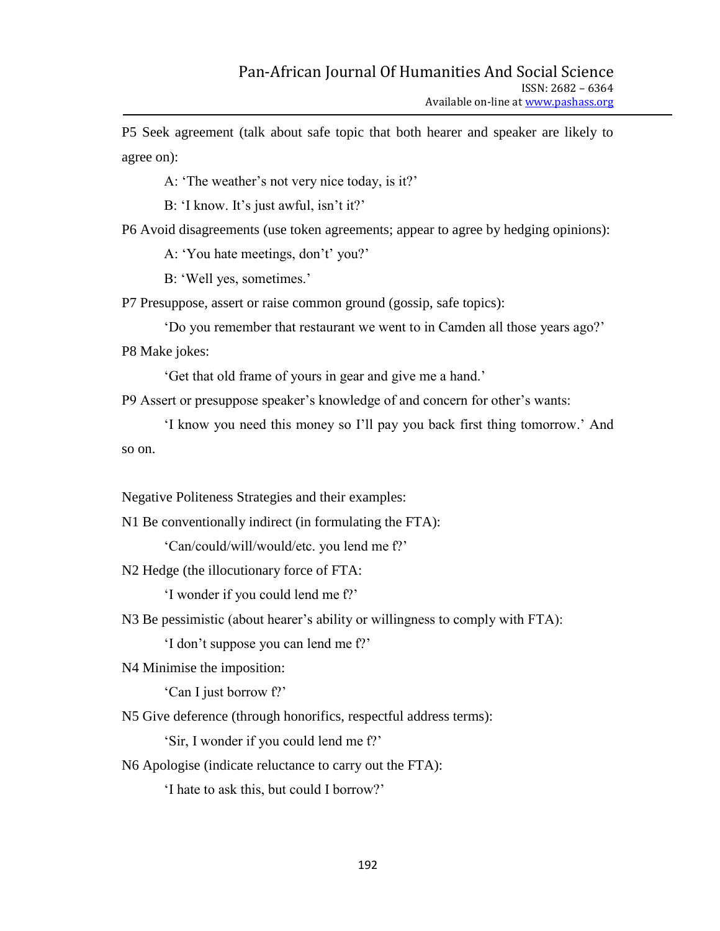P5 Seek agreement (talk about safe topic that both hearer and speaker are likely to agree on):

A: 'The weather's not very nice today, is it?'

B: 'I know. It's just awful, isn't it?'

P6 Avoid disagreements (use token agreements; appear to agree by hedging opinions):

A: 'You hate meetings, don't' you?'

B: 'Well yes, sometimes.'

P7 Presuppose, assert or raise common ground (gossip, safe topics):

"Do you remember that restaurant we went to in Camden all those years ago?" P8 Make jokes:

"Get that old frame of yours in gear and give me a hand."

P9 Assert or presuppose speaker"s knowledge of and concern for other"s wants:

"I know you need this money so I"ll pay you back first thing tomorrow." And so on.

Negative Politeness Strategies and their examples:

N1 Be conventionally indirect (in formulating the FTA):

'Can/could/will/would/etc. you lend me f?'

N2 Hedge (the illocutionary force of FTA:

'I wonder if you could lend me f?'

N3 Be pessimistic (about hearer's ability or willingness to comply with FTA):

'I don't suppose you can lend me f?'

N4 Minimise the imposition:

'Can I just borrow f?'

N5 Give deference (through honorifics, respectful address terms):

"Sir, I wonder if you could lend me f?"

N6 Apologise (indicate reluctance to carry out the FTA):

"I hate to ask this, but could I borrow?"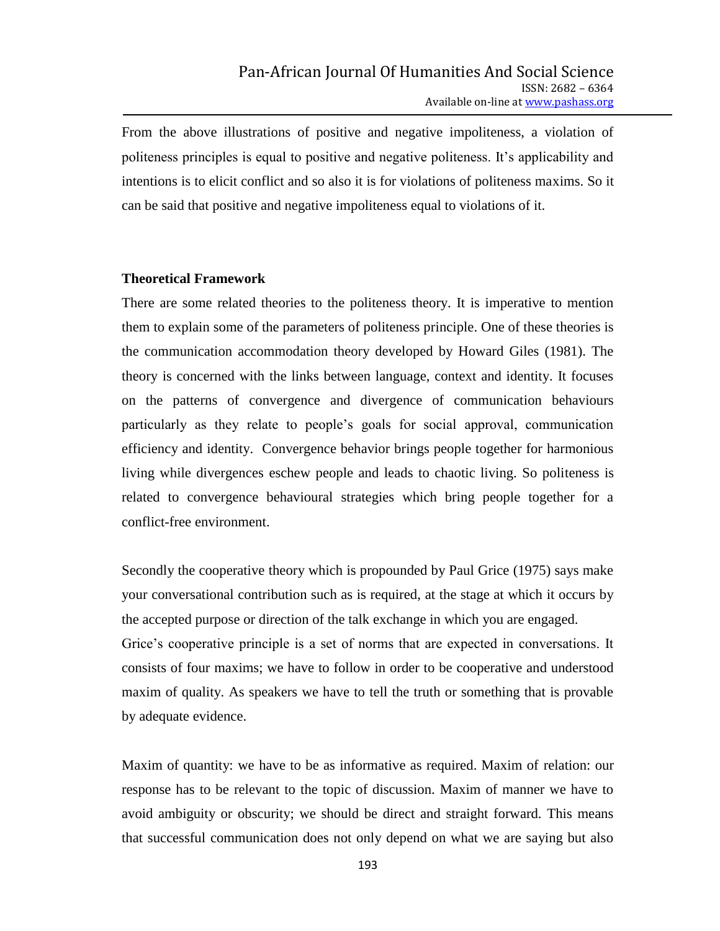From the above illustrations of positive and negative impoliteness, a violation of politeness principles is equal to positive and negative politeness. It"s applicability and intentions is to elicit conflict and so also it is for violations of politeness maxims. So it can be said that positive and negative impoliteness equal to violations of it.

#### **Theoretical Framework**

There are some related theories to the politeness theory. It is imperative to mention them to explain some of the parameters of politeness principle. One of these theories is the communication accommodation theory developed by Howard Giles (1981). The theory is concerned with the links between language, context and identity. It focuses on the patterns of convergence and divergence of communication behaviours particularly as they relate to people"s goals for social approval, communication efficiency and identity. Convergence behavior brings people together for harmonious living while divergences eschew people and leads to chaotic living. So politeness is related to convergence behavioural strategies which bring people together for a conflict-free environment.

Secondly the cooperative theory which is propounded by Paul Grice (1975) says make your conversational contribution such as is required, at the stage at which it occurs by the accepted purpose or direction of the talk exchange in which you are engaged. Grice"s cooperative principle is a set of norms that are expected in conversations. It consists of four maxims; we have to follow in order to be cooperative and understood maxim of quality. As speakers we have to tell the truth or something that is provable by adequate evidence.

Maxim of quantity: we have to be as informative as required. Maxim of relation: our response has to be relevant to the topic of discussion. Maxim of manner we have to avoid ambiguity or obscurity; we should be direct and straight forward. This means that successful communication does not only depend on what we are saying but also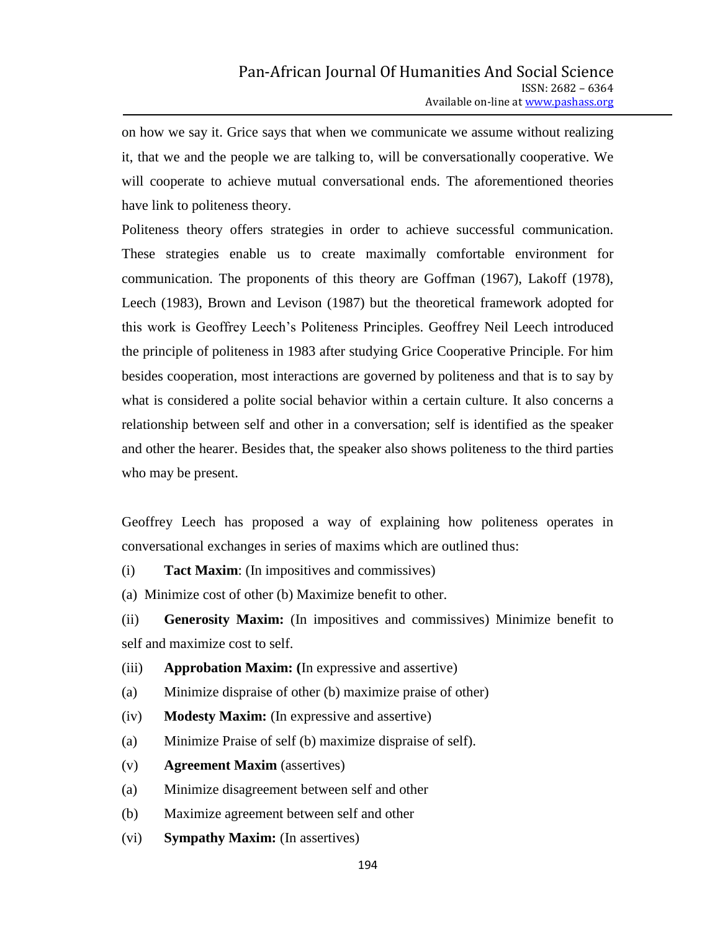on how we say it. Grice says that when we communicate we assume without realizing it, that we and the people we are talking to, will be conversationally cooperative. We will cooperate to achieve mutual conversational ends. The aforementioned theories have link to politeness theory.

Politeness theory offers strategies in order to achieve successful communication. These strategies enable us to create maximally comfortable environment for communication. The proponents of this theory are Goffman (1967), Lakoff (1978), Leech (1983), Brown and Levison (1987) but the theoretical framework adopted for this work is Geoffrey Leech"s Politeness Principles. Geoffrey Neil Leech introduced the principle of politeness in 1983 after studying Grice Cooperative Principle. For him besides cooperation, most interactions are governed by politeness and that is to say by what is considered a polite social behavior within a certain culture. It also concerns a relationship between self and other in a conversation; self is identified as the speaker and other the hearer. Besides that, the speaker also shows politeness to the third parties who may be present.

Geoffrey Leech has proposed a way of explaining how politeness operates in conversational exchanges in series of maxims which are outlined thus:

(i) **Tact Maxim**: (In impositives and commissives)

(a) Minimize cost of other (b) Maximize benefit to other.

(ii) **Generosity Maxim:** (In impositives and commissives) Minimize benefit to self and maximize cost to self.

- (iii) **Approbation Maxim: (**In expressive and assertive)
- (a) Minimize dispraise of other (b) maximize praise of other)
- (iv) **Modesty Maxim:** (In expressive and assertive)
- (a) Minimize Praise of self (b) maximize dispraise of self).
- (v) **Agreement Maxim** (assertives)
- (a) Minimize disagreement between self and other
- (b) Maximize agreement between self and other
- (vi) **Sympathy Maxim:** (In assertives)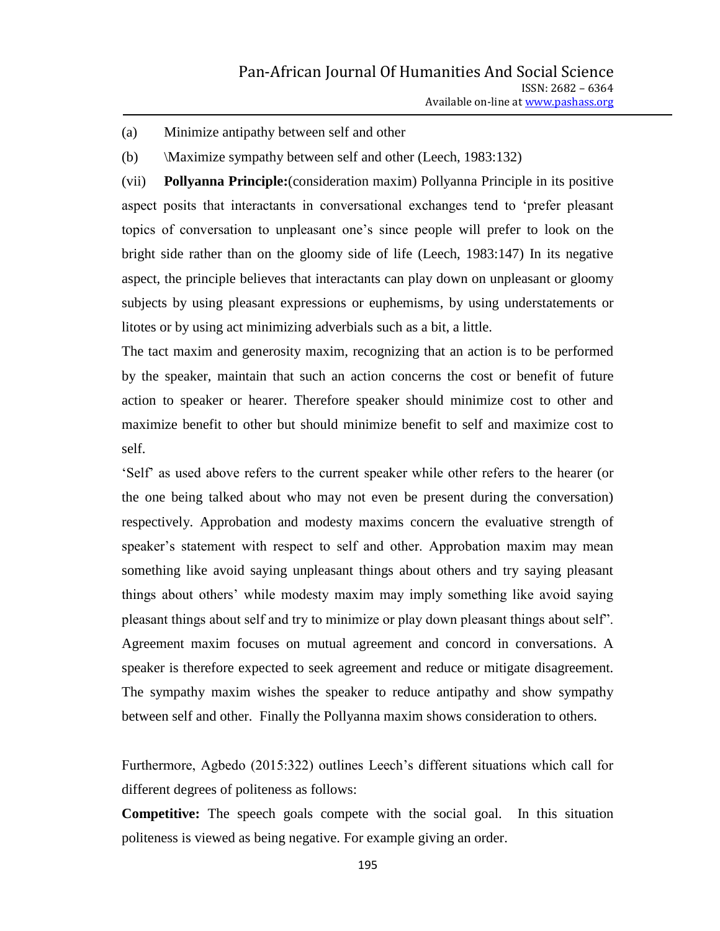(a) Minimize antipathy between self and other

(b) \Maximize sympathy between self and other (Leech, 1983:132)

(vii) **Pollyanna Principle:**(consideration maxim) Pollyanna Principle in its positive aspect posits that interactants in conversational exchanges tend to "prefer pleasant topics of conversation to unpleasant one"s since people will prefer to look on the bright side rather than on the gloomy side of life (Leech, 1983:147) In its negative aspect, the principle believes that interactants can play down on unpleasant or gloomy subjects by using pleasant expressions or euphemisms, by using understatements or litotes or by using act minimizing adverbials such as a bit, a little.

The tact maxim and generosity maxim, recognizing that an action is to be performed by the speaker, maintain that such an action concerns the cost or benefit of future action to speaker or hearer. Therefore speaker should minimize cost to other and maximize benefit to other but should minimize benefit to self and maximize cost to self.

"Self" as used above refers to the current speaker while other refers to the hearer (or the one being talked about who may not even be present during the conversation) respectively. Approbation and modesty maxims concern the evaluative strength of speaker"s statement with respect to self and other. Approbation maxim may mean something like avoid saying unpleasant things about others and try saying pleasant things about others" while modesty maxim may imply something like avoid saying pleasant things about self and try to minimize or play down pleasant things about self". Agreement maxim focuses on mutual agreement and concord in conversations. A speaker is therefore expected to seek agreement and reduce or mitigate disagreement. The sympathy maxim wishes the speaker to reduce antipathy and show sympathy between self and other. Finally the Pollyanna maxim shows consideration to others.

Furthermore, Agbedo (2015:322) outlines Leech's different situations which call for different degrees of politeness as follows:

**Competitive:** The speech goals compete with the social goal. In this situation politeness is viewed as being negative. For example giving an order.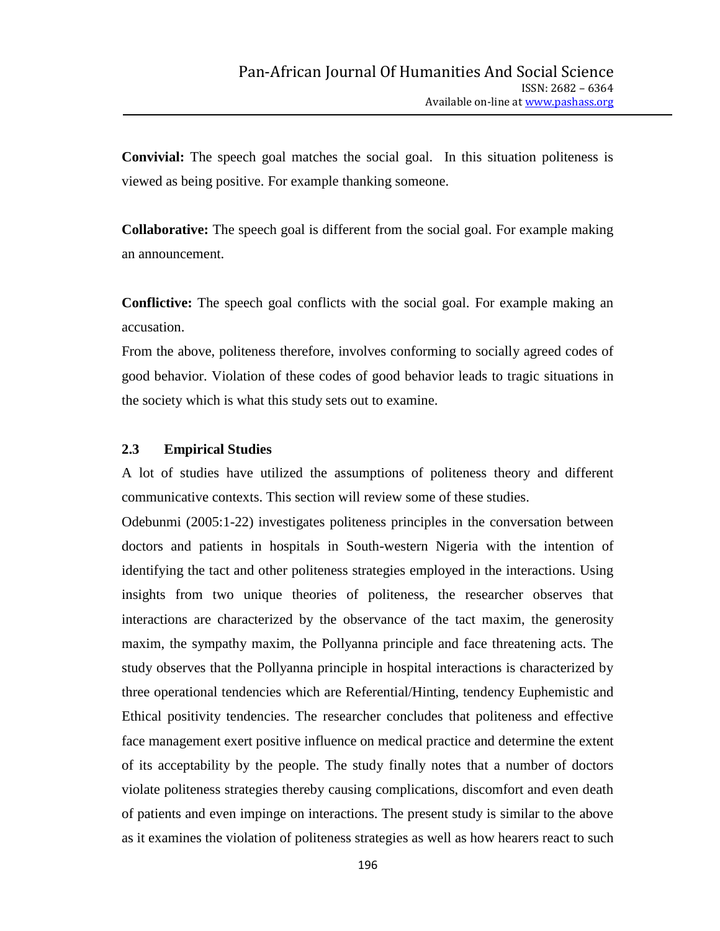**Convivial:** The speech goal matches the social goal. In this situation politeness is viewed as being positive. For example thanking someone.

**Collaborative:** The speech goal is different from the social goal. For example making an announcement.

**Conflictive:** The speech goal conflicts with the social goal. For example making an accusation.

From the above, politeness therefore, involves conforming to socially agreed codes of good behavior. Violation of these codes of good behavior leads to tragic situations in the society which is what this study sets out to examine.

#### **2.3 Empirical Studies**

A lot of studies have utilized the assumptions of politeness theory and different communicative contexts. This section will review some of these studies.

Odebunmi (2005:1-22) investigates politeness principles in the conversation between doctors and patients in hospitals in South-western Nigeria with the intention of identifying the tact and other politeness strategies employed in the interactions. Using insights from two unique theories of politeness, the researcher observes that interactions are characterized by the observance of the tact maxim, the generosity maxim, the sympathy maxim, the Pollyanna principle and face threatening acts. The study observes that the Pollyanna principle in hospital interactions is characterized by three operational tendencies which are Referential/Hinting, tendency Euphemistic and Ethical positivity tendencies. The researcher concludes that politeness and effective face management exert positive influence on medical practice and determine the extent of its acceptability by the people. The study finally notes that a number of doctors violate politeness strategies thereby causing complications, discomfort and even death of patients and even impinge on interactions. The present study is similar to the above as it examines the violation of politeness strategies as well as how hearers react to such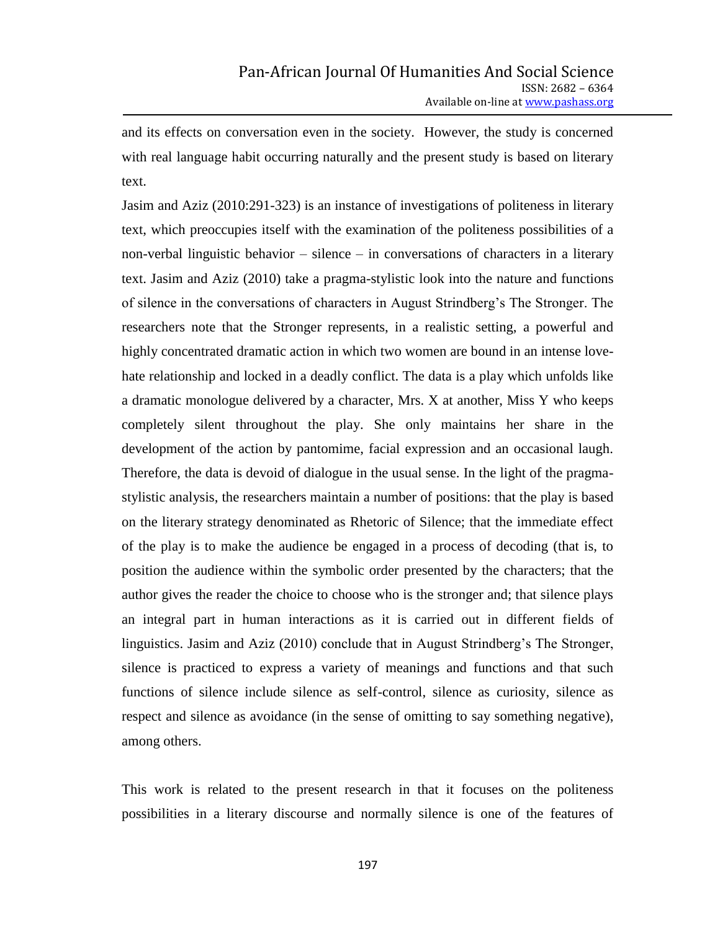and its effects on conversation even in the society. However, the study is concerned with real language habit occurring naturally and the present study is based on literary text.

Jasim and Aziz (2010:291-323) is an instance of investigations of politeness in literary text, which preoccupies itself with the examination of the politeness possibilities of a non-verbal linguistic behavior – silence – in conversations of characters in a literary text. Jasim and Aziz (2010) take a pragma-stylistic look into the nature and functions of silence in the conversations of characters in August Strindberg"s The Stronger. The researchers note that the Stronger represents, in a realistic setting, a powerful and highly concentrated dramatic action in which two women are bound in an intense lovehate relationship and locked in a deadly conflict. The data is a play which unfolds like a dramatic monologue delivered by a character, Mrs. X at another, Miss Y who keeps completely silent throughout the play. She only maintains her share in the development of the action by pantomime, facial expression and an occasional laugh. Therefore, the data is devoid of dialogue in the usual sense. In the light of the pragmastylistic analysis, the researchers maintain a number of positions: that the play is based on the literary strategy denominated as Rhetoric of Silence; that the immediate effect of the play is to make the audience be engaged in a process of decoding (that is, to position the audience within the symbolic order presented by the characters; that the author gives the reader the choice to choose who is the stronger and; that silence plays an integral part in human interactions as it is carried out in different fields of linguistics. Jasim and Aziz (2010) conclude that in August Strindberg's The Stronger, silence is practiced to express a variety of meanings and functions and that such functions of silence include silence as self-control, silence as curiosity, silence as respect and silence as avoidance (in the sense of omitting to say something negative), among others.

This work is related to the present research in that it focuses on the politeness possibilities in a literary discourse and normally silence is one of the features of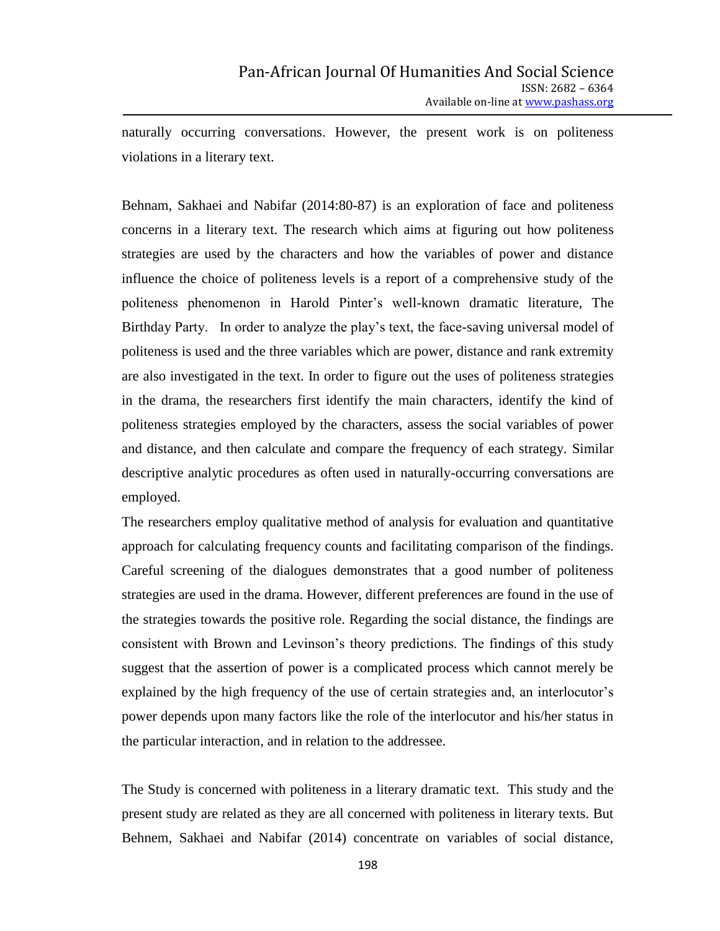naturally occurring conversations. However, the present work is on politeness violations in a literary text.

Behnam, Sakhaei and Nabifar (2014:80-87) is an exploration of face and politeness concerns in a literary text. The research which aims at figuring out how politeness strategies are used by the characters and how the variables of power and distance influence the choice of politeness levels is a report of a comprehensive study of the politeness phenomenon in Harold Pinter"s well-known dramatic literature, The Birthday Party. In order to analyze the play"s text, the face-saving universal model of politeness is used and the three variables which are power, distance and rank extremity are also investigated in the text. In order to figure out the uses of politeness strategies in the drama, the researchers first identify the main characters, identify the kind of politeness strategies employed by the characters, assess the social variables of power and distance, and then calculate and compare the frequency of each strategy. Similar descriptive analytic procedures as often used in naturally-occurring conversations are employed.

The researchers employ qualitative method of analysis for evaluation and quantitative approach for calculating frequency counts and facilitating comparison of the findings. Careful screening of the dialogues demonstrates that a good number of politeness strategies are used in the drama. However, different preferences are found in the use of the strategies towards the positive role. Regarding the social distance, the findings are consistent with Brown and Levinson"s theory predictions. The findings of this study suggest that the assertion of power is a complicated process which cannot merely be explained by the high frequency of the use of certain strategies and, an interlocutor's power depends upon many factors like the role of the interlocutor and his/her status in the particular interaction, and in relation to the addressee.

The Study is concerned with politeness in a literary dramatic text. This study and the present study are related as they are all concerned with politeness in literary texts. But Behnem, Sakhaei and Nabifar (2014) concentrate on variables of social distance,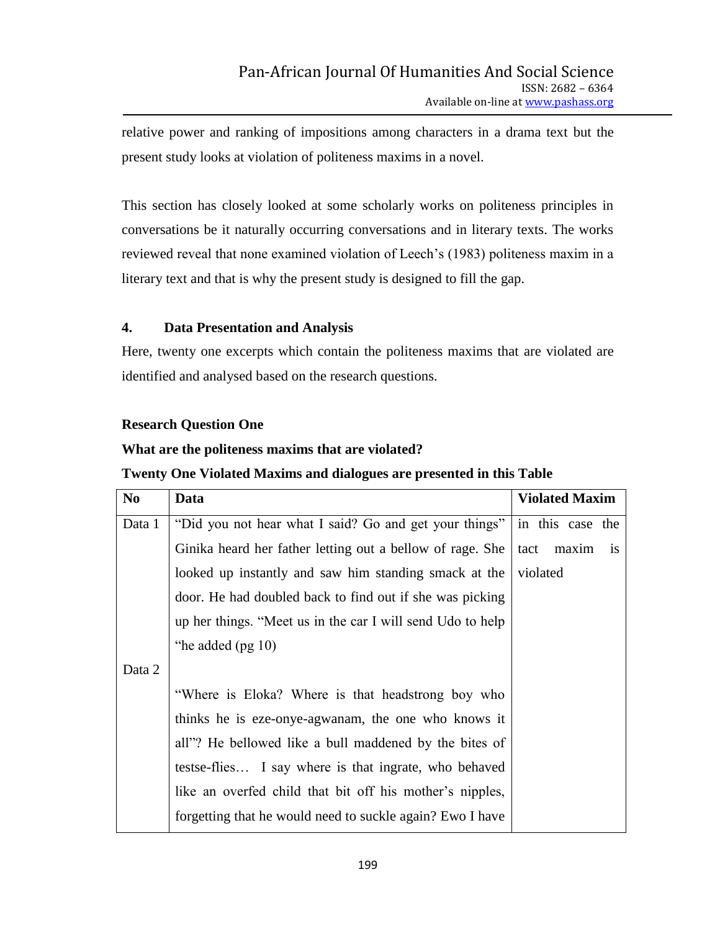relative power and ranking of impositions among characters in a drama text but the present study looks at violation of politeness maxims in a novel.

This section has closely looked at some scholarly works on politeness principles in conversations be it naturally occurring conversations and in literary texts. The works reviewed reveal that none examined violation of Leech"s (1983) politeness maxim in a literary text and that is why the present study is designed to fill the gap.

## **4. Data Presentation and Analysis**

Here, twenty one excerpts which contain the politeness maxims that are violated are identified and analysed based on the research questions.

## **Research Question One**

## **What are the politeness maxims that are violated?**

## **Twenty One Violated Maxims and dialogues are presented in this Table**

| N <sub>o</sub> | Data                                                       | <b>Violated Maxim</b> |
|----------------|------------------------------------------------------------|-----------------------|
| Data 1         | "Did you not hear what I said? Go and get your things"     | in this case the      |
|                | Ginika heard her father letting out a bellow of rage. She  | tact<br>maxim<br>is   |
|                | looked up instantly and saw him standing smack at the      | violated              |
|                | door. He had doubled back to find out if she was picking   |                       |
|                | up her things. "Meet us in the car I will send Udo to help |                       |
|                | "he added $(pg 10)$                                        |                       |
| Data 2         |                                                            |                       |
|                | "Where is Eloka? Where is that headstrong boy who          |                       |
|                | thinks he is eze-onye-agwanam, the one who knows it        |                       |
|                | all"? He bellowed like a bull maddened by the bites of     |                       |
|                | testse-flies I say where is that ingrate, who behaved      |                       |
|                | like an overfed child that bit off his mother's nipples,   |                       |
|                | forgetting that he would need to suckle again? Ewo I have  |                       |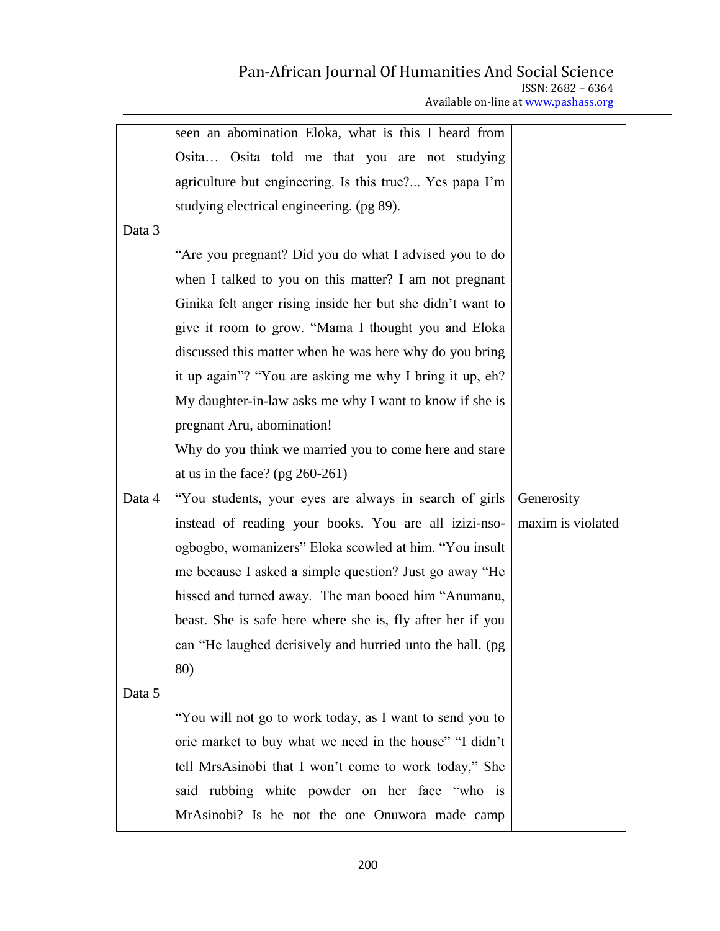| Available on-line at www.pashass.org |  |
|--------------------------------------|--|
|                                      |  |

|        | seen an abomination Eloka, what is this I heard from       |                   |
|--------|------------------------------------------------------------|-------------------|
|        | Osita Osita told me that you are not studying              |                   |
|        | agriculture but engineering. Is this true? Yes papa I'm    |                   |
|        | studying electrical engineering. (pg 89).                  |                   |
| Data 3 |                                                            |                   |
|        | "Are you pregnant? Did you do what I advised you to do     |                   |
|        | when I talked to you on this matter? I am not pregnant     |                   |
|        | Ginika felt anger rising inside her but she didn't want to |                   |
|        | give it room to grow. "Mama I thought you and Eloka        |                   |
|        | discussed this matter when he was here why do you bring    |                   |
|        | it up again"? "You are asking me why I bring it up, eh?    |                   |
|        | My daughter-in-law asks me why I want to know if she is    |                   |
|        | pregnant Aru, abomination!                                 |                   |
|        | Why do you think we married you to come here and stare     |                   |
|        | at us in the face? (pg $260-261$ )                         |                   |
| Data 4 | "You students, your eyes are always in search of girls     | Generosity        |
|        | instead of reading your books. You are all izizi-nso-      | maxim is violated |
|        | ogbogbo, womanizers" Eloka scowled at him. "You insult     |                   |
|        | me because I asked a simple question? Just go away "He     |                   |
|        | hissed and turned away. The man booed him "Anumanu,        |                   |
|        | beast. She is safe here where she is, fly after her if you |                   |
|        | can "He laughed derisively and hurried unto the hall. (pg  |                   |
|        | 80)                                                        |                   |
| Data 5 |                                                            |                   |
|        | "You will not go to work today, as I want to send you to   |                   |
|        | orie market to buy what we need in the house" "I didn't    |                   |
|        | tell MrsAsinobi that I won't come to work today," She      |                   |
|        | said rubbing white powder on her face "who is              |                   |
|        | MrAsinobi? Is he not the one Onuwora made camp             |                   |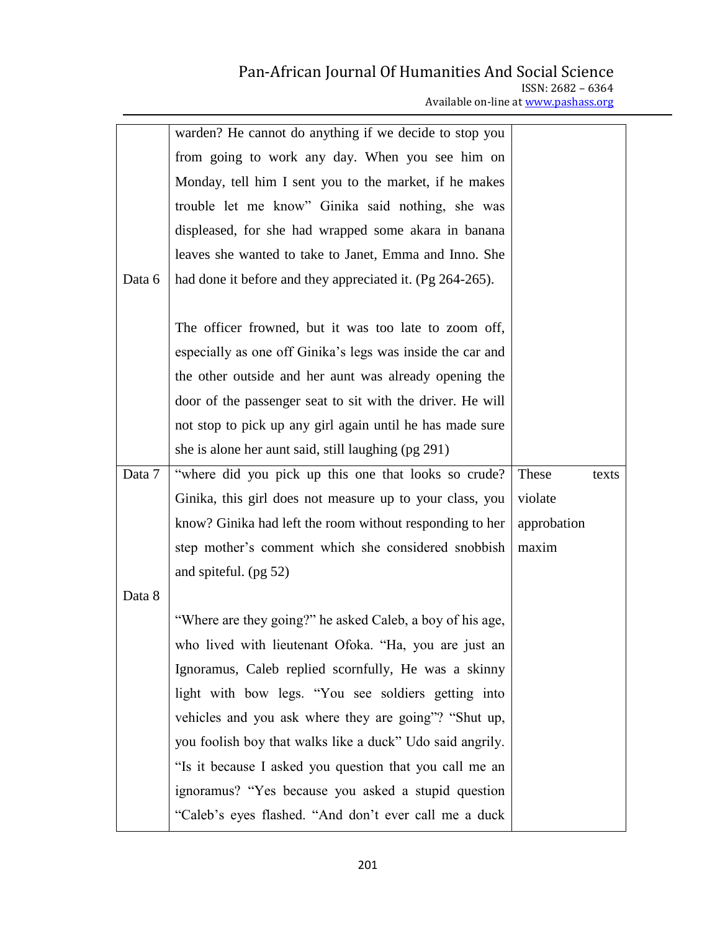## Pan-African Journal Of Humanities And Social Science ISSN: 2682 – 6364

Available on-line at www.pashass.org

|        | warden? He cannot do anything if we decide to stop you     |             |       |
|--------|------------------------------------------------------------|-------------|-------|
|        | from going to work any day. When you see him on            |             |       |
|        | Monday, tell him I sent you to the market, if he makes     |             |       |
|        | trouble let me know" Ginika said nothing, she was          |             |       |
|        | displeased, for she had wrapped some akara in banana       |             |       |
|        | leaves she wanted to take to Janet, Emma and Inno. She     |             |       |
| Data 6 | had done it before and they appreciated it. (Pg 264-265).  |             |       |
|        |                                                            |             |       |
|        | The officer frowned, but it was too late to zoom off,      |             |       |
|        | especially as one off Ginika's legs was inside the car and |             |       |
|        | the other outside and her aunt was already opening the     |             |       |
|        | door of the passenger seat to sit with the driver. He will |             |       |
|        | not stop to pick up any girl again until he has made sure  |             |       |
|        | she is alone her aunt said, still laughing (pg 291)        |             |       |
| Data 7 | "where did you pick up this one that looks so crude?       | These       | texts |
|        | Ginika, this girl does not measure up to your class, you   | violate     |       |
|        | know? Ginika had left the room without responding to her   | approbation |       |
|        | step mother's comment which she considered snobbish        | maxim       |       |
|        | and spiteful. (pg 52)                                      |             |       |
| Data 8 |                                                            |             |       |
|        | "Where are they going?" he asked Caleb, a boy of his age,  |             |       |
|        | who lived with lieutenant Ofoka. "Ha, you are just an      |             |       |
|        | Ignoramus, Caleb replied scornfully, He was a skinny       |             |       |
|        | light with bow legs. "You see soldiers getting into        |             |       |
|        | vehicles and you ask where they are going"? "Shut up,      |             |       |
|        | you foolish boy that walks like a duck" Udo said angrily.  |             |       |
|        | "Is it because I asked you question that you call me an    |             |       |
|        | ignoramus? "Yes because you asked a stupid question        |             |       |
|        | "Caleb's eyes flashed. "And don't ever call me a duck      |             |       |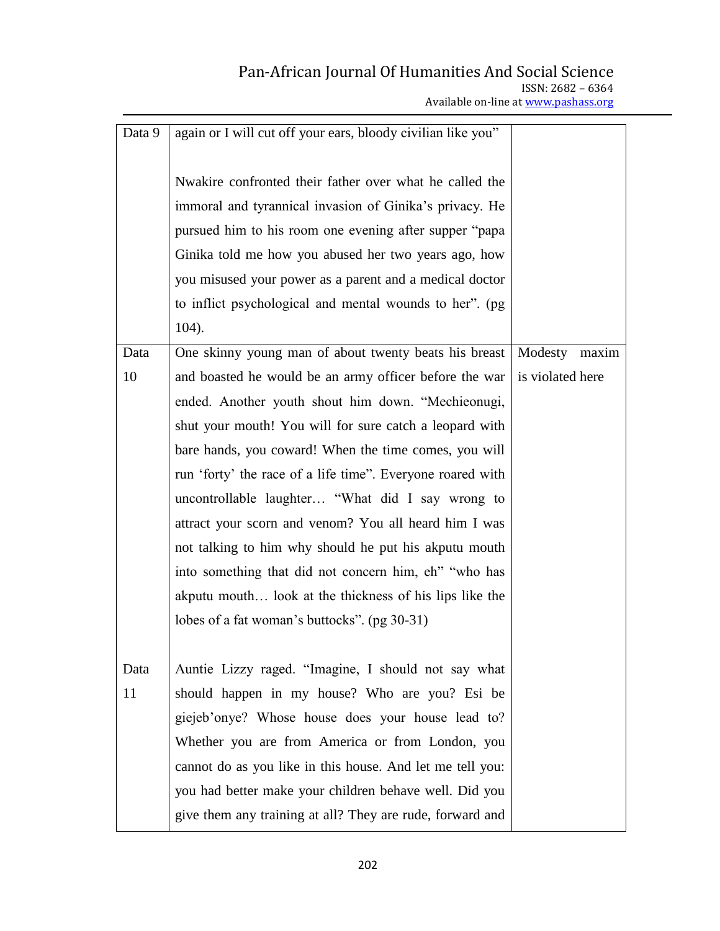Available on-line at www.pashass.org

| Data 9 | again or I will cut off your ears, bloody civilian like you" |                  |       |
|--------|--------------------------------------------------------------|------------------|-------|
|        |                                                              |                  |       |
|        | Nwakire confronted their father over what he called the      |                  |       |
|        | immoral and tyrannical invasion of Ginika's privacy. He      |                  |       |
|        | pursued him to his room one evening after supper "papa"      |                  |       |
|        | Ginika told me how you abused her two years ago, how         |                  |       |
|        | you misused your power as a parent and a medical doctor      |                  |       |
|        | to inflict psychological and mental wounds to her". (pg)     |                  |       |
|        | 104).                                                        |                  |       |
| Data   | One skinny young man of about twenty beats his breast        | Modesty          | maxim |
| 10     | and boasted he would be an army officer before the war       | is violated here |       |
|        | ended. Another youth shout him down. "Mechieonugi,           |                  |       |
|        | shut your mouth! You will for sure catch a leopard with      |                  |       |
|        | bare hands, you coward! When the time comes, you will        |                  |       |
|        | run 'forty' the race of a life time". Everyone roared with   |                  |       |
|        | uncontrollable laughter "What did I say wrong to             |                  |       |
|        | attract your scorn and venom? You all heard him I was        |                  |       |
|        | not talking to him why should he put his akputu mouth        |                  |       |
|        | into something that did not concern him, eh'' "who has       |                  |       |
|        | akputu mouth look at the thickness of his lips like the      |                  |       |
|        | lobes of a fat woman's buttocks". (pg 30-31)                 |                  |       |
|        |                                                              |                  |       |
| Data   | Auntie Lizzy raged. "Imagine, I should not say what          |                  |       |
| 11     | should happen in my house? Who are you? Esi be               |                  |       |
|        | giejeb'onye? Whose house does your house lead to?            |                  |       |
|        | Whether you are from America or from London, you             |                  |       |
|        | cannot do as you like in this house. And let me tell you:    |                  |       |
|        | you had better make your children behave well. Did you       |                  |       |
|        | give them any training at all? They are rude, forward and    |                  |       |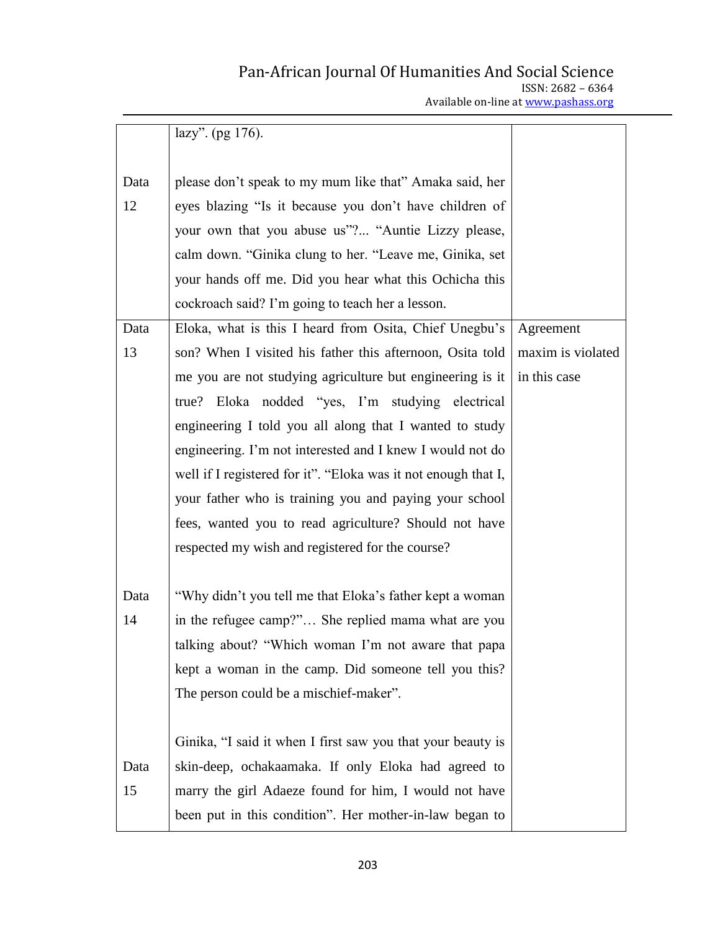|  | Available on-line at www.pashass.org |  |
|--|--------------------------------------|--|
|  |                                      |  |

|      | lazy". (pg 176).                                               |                   |
|------|----------------------------------------------------------------|-------------------|
|      |                                                                |                   |
| Data | please don't speak to my mum like that" Amaka said, her        |                   |
| 12   | eyes blazing "Is it because you don't have children of         |                   |
|      | your own that you abuse us"? "Auntie Lizzy please,             |                   |
|      | calm down. "Ginika clung to her. "Leave me, Ginika, set        |                   |
|      | your hands off me. Did you hear what this Ochicha this         |                   |
|      | cockroach said? I'm going to teach her a lesson.               |                   |
| Data | Eloka, what is this I heard from Osita, Chief Unegbu's         | Agreement         |
| 13   | son? When I visited his father this afternoon, Osita told      | maxim is violated |
|      | me you are not studying agriculture but engineering is it      | in this case      |
|      | Eloka nodded "yes, I'm studying electrical<br>true?            |                   |
|      | engineering I told you all along that I wanted to study        |                   |
|      | engineering. I'm not interested and I knew I would not do      |                   |
|      | well if I registered for it". "Eloka was it not enough that I, |                   |
|      | your father who is training you and paying your school         |                   |
|      | fees, wanted you to read agriculture? Should not have          |                   |
|      | respected my wish and registered for the course?               |                   |
|      |                                                                |                   |
| Data | "Why didn't you tell me that Eloka's father kept a woman       |                   |
| 14   | in the refugee camp?" She replied mama what are you            |                   |
|      | talking about? "Which woman I'm not aware that papa            |                   |
|      | kept a woman in the camp. Did someone tell you this?           |                   |
|      | The person could be a mischief-maker".                         |                   |
|      |                                                                |                   |
|      | Ginika, "I said it when I first saw you that your beauty is    |                   |
| Data | skin-deep, ochakaamaka. If only Eloka had agreed to            |                   |
| 15   | marry the girl Adaeze found for him, I would not have          |                   |
|      | been put in this condition". Her mother-in-law began to        |                   |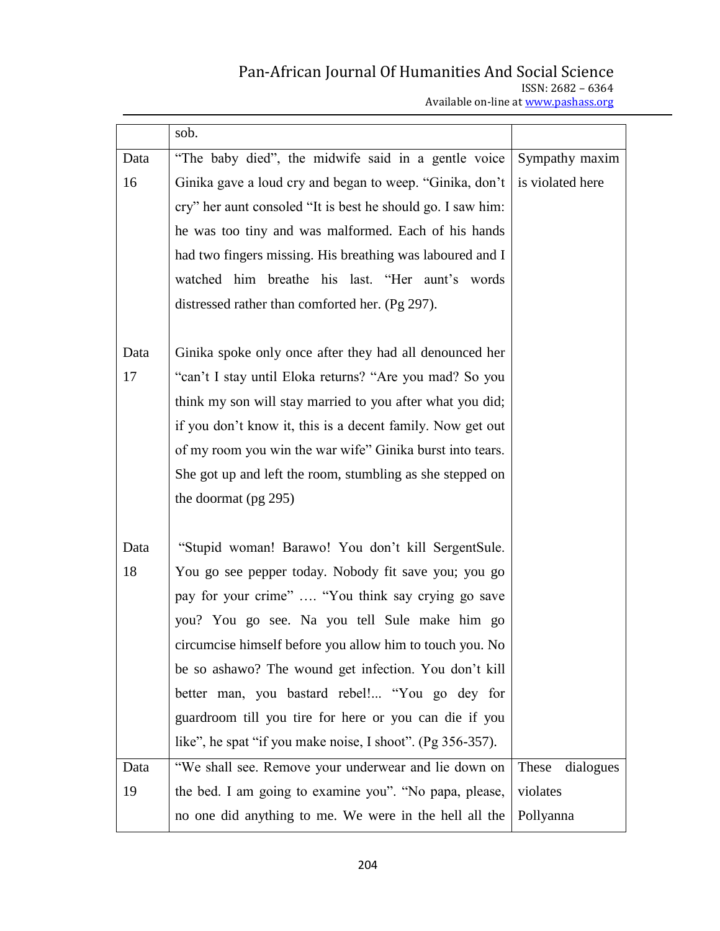# Pan-African Journal Of Humanities And Social Science ISSN: 2682 – 6364

Available on-line at www.pashass.org

|      | sob.                                                        |                    |
|------|-------------------------------------------------------------|--------------------|
| Data | "The baby died", the midwife said in a gentle voice         | Sympathy maxim     |
| 16   | Ginika gave a loud cry and began to weep. "Ginika, don't    | is violated here   |
|      | cry" her aunt consoled "It is best he should go. I saw him: |                    |
|      | he was too tiny and was malformed. Each of his hands        |                    |
|      | had two fingers missing. His breathing was laboured and I   |                    |
|      | watched him breathe his last. "Her aunt's words             |                    |
|      | distressed rather than comforted her. (Pg 297).             |                    |
|      |                                                             |                    |
| Data | Ginika spoke only once after they had all denounced her     |                    |
| 17   | "can't I stay until Eloka returns? "Are you mad? So you     |                    |
|      | think my son will stay married to you after what you did;   |                    |
|      | if you don't know it, this is a decent family. Now get out  |                    |
|      | of my room you win the war wife" Ginika burst into tears.   |                    |
|      | She got up and left the room, stumbling as she stepped on   |                    |
|      | the doormat (pg 295)                                        |                    |
|      |                                                             |                    |
| Data | "Stupid woman! Barawo! You don't kill SergentSule.          |                    |
| 18   | You go see pepper today. Nobody fit save you; you go        |                    |
|      | pay for your crime"  "You think say crying go save          |                    |
|      | you? You go see. Na you tell Sule make him go               |                    |
|      | circumcise himself before you allow him to touch you. No    |                    |
|      | be so ashawo? The wound get infection. You don't kill       |                    |
|      | better man, you bastard rebel! "You go dey for              |                    |
|      | guardroom till you tire for here or you can die if you      |                    |
|      | like", he spat "if you make noise, I shoot". (Pg 356-357).  |                    |
| Data | "We shall see. Remove your underwear and lie down on        | These<br>dialogues |
| 19   | the bed. I am going to examine you". "No papa, please,      | violates           |
|      | no one did anything to me. We were in the hell all the      | Pollyanna          |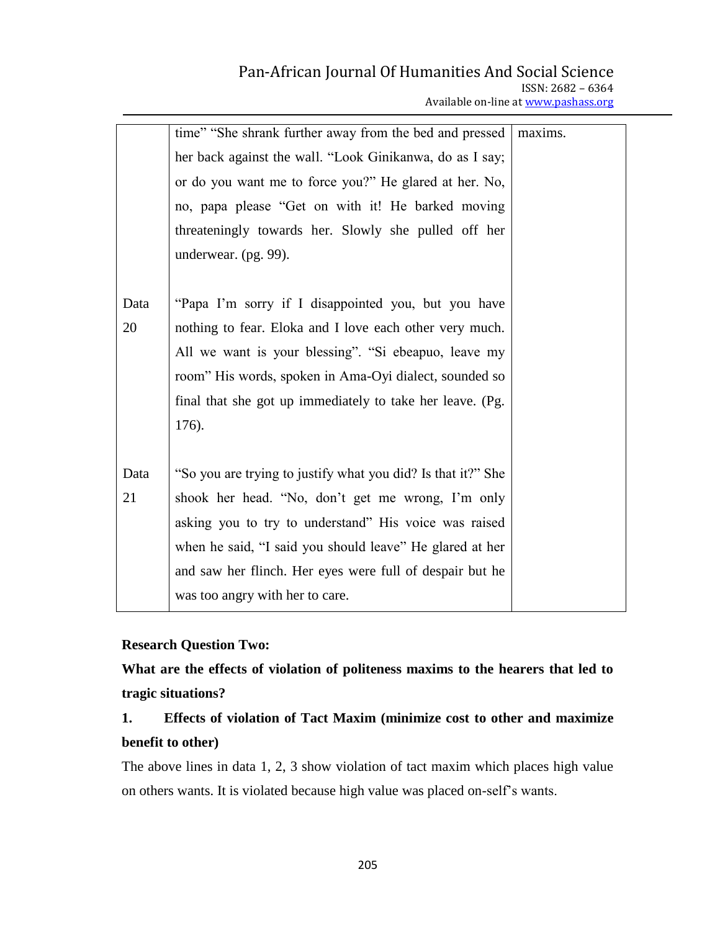| Available on-line at www.pashass.org |  |
|--------------------------------------|--|
|                                      |  |

|      | time" "She shrank further away from the bed and pressed      | maxims. |
|------|--------------------------------------------------------------|---------|
|      | her back against the wall. "Look Ginikanwa, do as I say;     |         |
|      | or do you want me to force you?" He glared at her. No,       |         |
|      | no, papa please "Get on with it! He barked moving            |         |
|      | threateningly towards her. Slowly she pulled off her         |         |
|      | underwear. (pg. 99).                                         |         |
|      |                                                              |         |
| Data | "Papa I'm sorry if I disappointed you, but you have          |         |
| 20   | nothing to fear. Eloka and I love each other very much.      |         |
|      | All we want is your blessing". "Si ebeapuo, leave my         |         |
|      | room" His words, spoken in Ama-Oyi dialect, sounded so       |         |
|      | final that she got up immediately to take her leave. (Pg.    |         |
|      | 176).                                                        |         |
|      |                                                              |         |
| Data | "So you are trying to justify what you did? Is that it?" She |         |
| 21   | shook her head. "No, don't get me wrong, I'm only            |         |
|      | asking you to try to understand" His voice was raised        |         |
|      | when he said, "I said you should leave" He glared at her     |         |
|      | and saw her flinch. Her eyes were full of despair but he     |         |
|      | was too angry with her to care.                              |         |

## **Research Question Two:**

**What are the effects of violation of politeness maxims to the hearers that led to tragic situations?**

# **1. Effects of violation of Tact Maxim (minimize cost to other and maximize benefit to other)**

The above lines in data 1, 2, 3 show violation of tact maxim which places high value on others wants. It is violated because high value was placed on-self"s wants.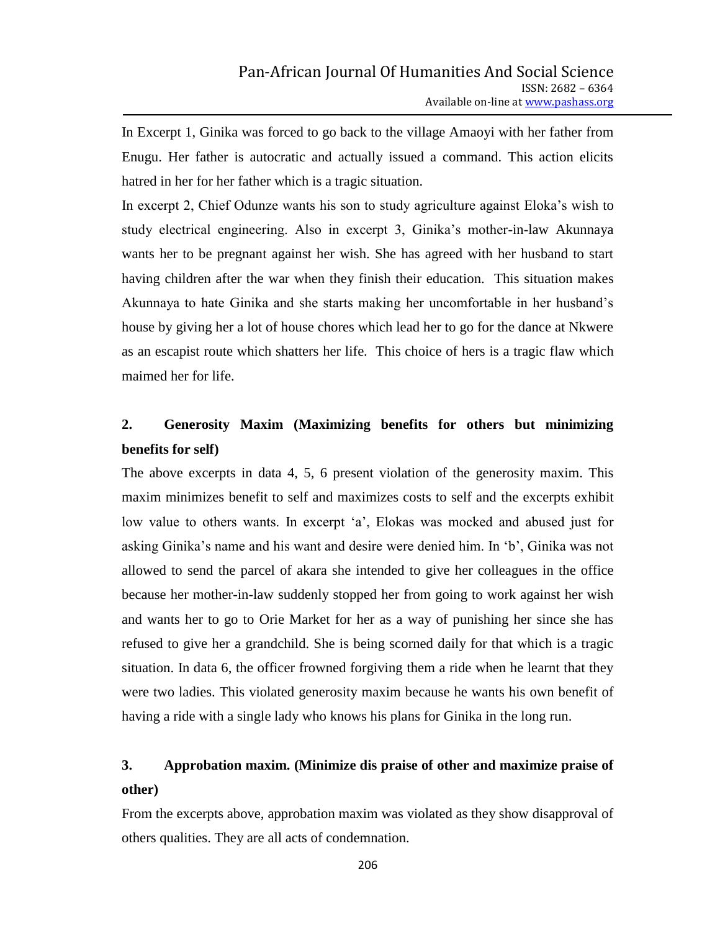In Excerpt 1, Ginika was forced to go back to the village Amaoyi with her father from Enugu. Her father is autocratic and actually issued a command. This action elicits hatred in her for her father which is a tragic situation.

In excerpt 2, Chief Odunze wants his son to study agriculture against Eloka"s wish to study electrical engineering. Also in excerpt 3, Ginika"s mother-in-law Akunnaya wants her to be pregnant against her wish. She has agreed with her husband to start having children after the war when they finish their education. This situation makes Akunnaya to hate Ginika and she starts making her uncomfortable in her husband"s house by giving her a lot of house chores which lead her to go for the dance at Nkwere as an escapist route which shatters her life. This choice of hers is a tragic flaw which maimed her for life.

# **2. Generosity Maxim (Maximizing benefits for others but minimizing benefits for self)**

The above excerpts in data 4, 5, 6 present violation of the generosity maxim. This maxim minimizes benefit to self and maximizes costs to self and the excerpts exhibit low value to others wants. In excerpt 'a', Elokas was mocked and abused just for asking Ginika"s name and his want and desire were denied him. In "b", Ginika was not allowed to send the parcel of akara she intended to give her colleagues in the office because her mother-in-law suddenly stopped her from going to work against her wish and wants her to go to Orie Market for her as a way of punishing her since she has refused to give her a grandchild. She is being scorned daily for that which is a tragic situation. In data 6, the officer frowned forgiving them a ride when he learnt that they were two ladies. This violated generosity maxim because he wants his own benefit of having a ride with a single lady who knows his plans for Ginika in the long run.

# **3. Approbation maxim. (Minimize dis praise of other and maximize praise of other)**

From the excerpts above, approbation maxim was violated as they show disapproval of others qualities. They are all acts of condemnation.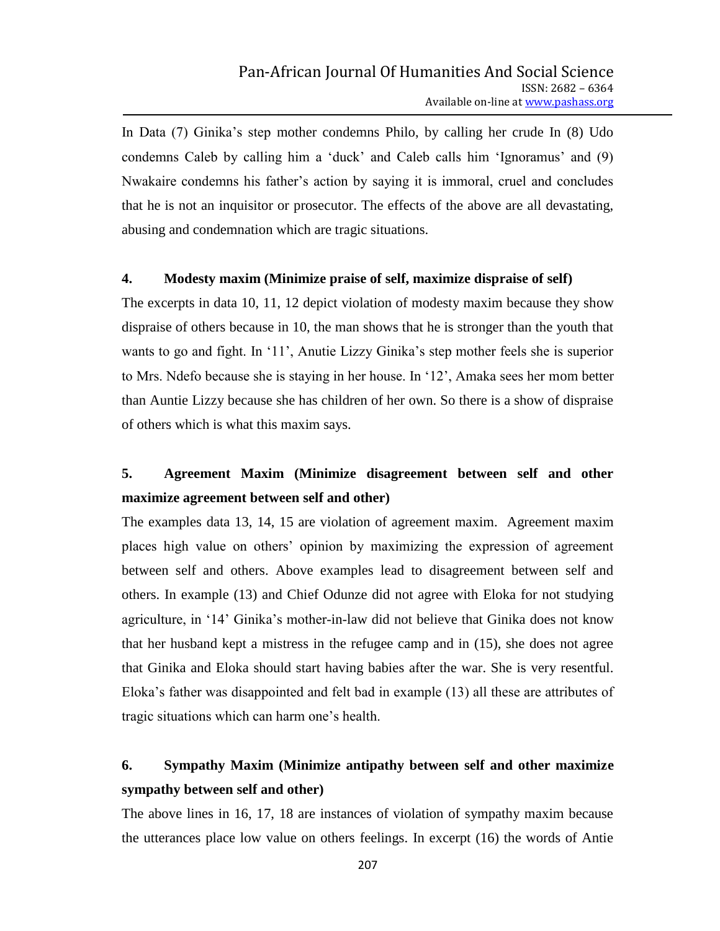In Data (7) Ginika"s step mother condemns Philo, by calling her crude In (8) Udo condemns Caleb by calling him a "duck" and Caleb calls him "Ignoramus" and (9) Nwakaire condemns his father"s action by saying it is immoral, cruel and concludes that he is not an inquisitor or prosecutor. The effects of the above are all devastating, abusing and condemnation which are tragic situations.

### **4. Modesty maxim (Minimize praise of self, maximize dispraise of self)**

The excerpts in data 10, 11, 12 depict violation of modesty maxim because they show dispraise of others because in 10, the man shows that he is stronger than the youth that wants to go and fight. In '11', Anutie Lizzy Ginika's step mother feels she is superior to Mrs. Ndefo because she is staying in her house. In "12", Amaka sees her mom better than Auntie Lizzy because she has children of her own. So there is a show of dispraise of others which is what this maxim says.

# **5. Agreement Maxim (Minimize disagreement between self and other maximize agreement between self and other)**

The examples data 13, 14, 15 are violation of agreement maxim. Agreement maxim places high value on others" opinion by maximizing the expression of agreement between self and others. Above examples lead to disagreement between self and others. In example (13) and Chief Odunze did not agree with Eloka for not studying agriculture, in "14" Ginika"s mother-in-law did not believe that Ginika does not know that her husband kept a mistress in the refugee camp and in (15), she does not agree that Ginika and Eloka should start having babies after the war. She is very resentful. Eloka"s father was disappointed and felt bad in example (13) all these are attributes of tragic situations which can harm one"s health.

# **6. Sympathy Maxim (Minimize antipathy between self and other maximize sympathy between self and other)**

The above lines in 16, 17, 18 are instances of violation of sympathy maxim because the utterances place low value on others feelings. In excerpt (16) the words of Antie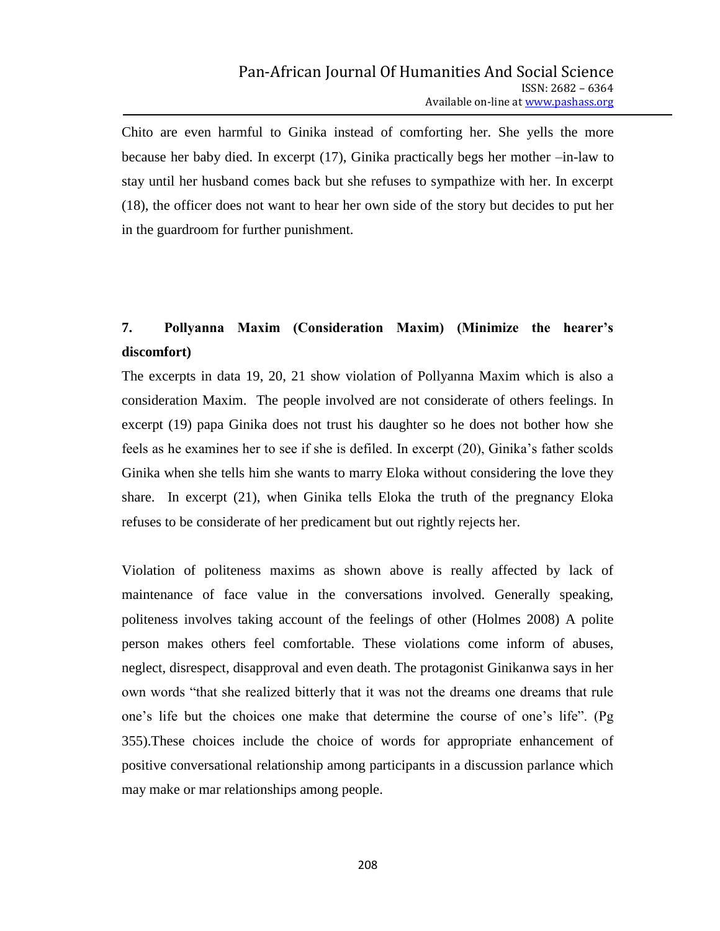Chito are even harmful to Ginika instead of comforting her. She yells the more because her baby died. In excerpt (17), Ginika practically begs her mother –in-law to stay until her husband comes back but she refuses to sympathize with her. In excerpt (18), the officer does not want to hear her own side of the story but decides to put her in the guardroom for further punishment.

# **7. Pollyanna Maxim (Consideration Maxim) (Minimize the hearer's discomfort)**

The excerpts in data 19, 20, 21 show violation of Pollyanna Maxim which is also a consideration Maxim. The people involved are not considerate of others feelings. In excerpt (19) papa Ginika does not trust his daughter so he does not bother how she feels as he examines her to see if she is defiled. In excerpt (20), Ginika"s father scolds Ginika when she tells him she wants to marry Eloka without considering the love they share. In excerpt (21), when Ginika tells Eloka the truth of the pregnancy Eloka refuses to be considerate of her predicament but out rightly rejects her.

Violation of politeness maxims as shown above is really affected by lack of maintenance of face value in the conversations involved. Generally speaking, politeness involves taking account of the feelings of other (Holmes 2008) A polite person makes others feel comfortable. These violations come inform of abuses, neglect, disrespect, disapproval and even death. The protagonist Ginikanwa says in her own words "that she realized bitterly that it was not the dreams one dreams that rule one"s life but the choices one make that determine the course of one"s life". (Pg 355).These choices include the choice of words for appropriate enhancement of positive conversational relationship among participants in a discussion parlance which may make or mar relationships among people.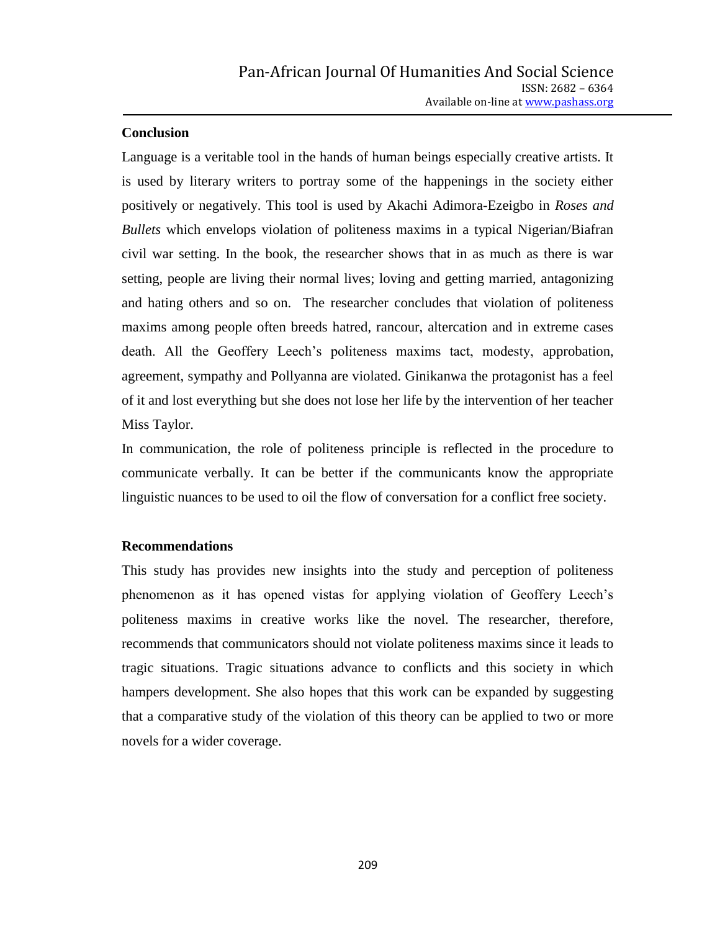### **Conclusion**

Language is a veritable tool in the hands of human beings especially creative artists. It is used by literary writers to portray some of the happenings in the society either positively or negatively. This tool is used by Akachi Adimora-Ezeigbo in *Roses and Bullets* which envelops violation of politeness maxims in a typical Nigerian/Biafran civil war setting. In the book, the researcher shows that in as much as there is war setting, people are living their normal lives; loving and getting married, antagonizing and hating others and so on. The researcher concludes that violation of politeness maxims among people often breeds hatred, rancour, altercation and in extreme cases death. All the Geoffery Leech's politeness maxims tact, modesty, approbation, agreement, sympathy and Pollyanna are violated. Ginikanwa the protagonist has a feel of it and lost everything but she does not lose her life by the intervention of her teacher Miss Taylor.

In communication, the role of politeness principle is reflected in the procedure to communicate verbally. It can be better if the communicants know the appropriate linguistic nuances to be used to oil the flow of conversation for a conflict free society.

### **Recommendations**

This study has provides new insights into the study and perception of politeness phenomenon as it has opened vistas for applying violation of Geoffery Leech"s politeness maxims in creative works like the novel. The researcher, therefore, recommends that communicators should not violate politeness maxims since it leads to tragic situations. Tragic situations advance to conflicts and this society in which hampers development. She also hopes that this work can be expanded by suggesting that a comparative study of the violation of this theory can be applied to two or more novels for a wider coverage.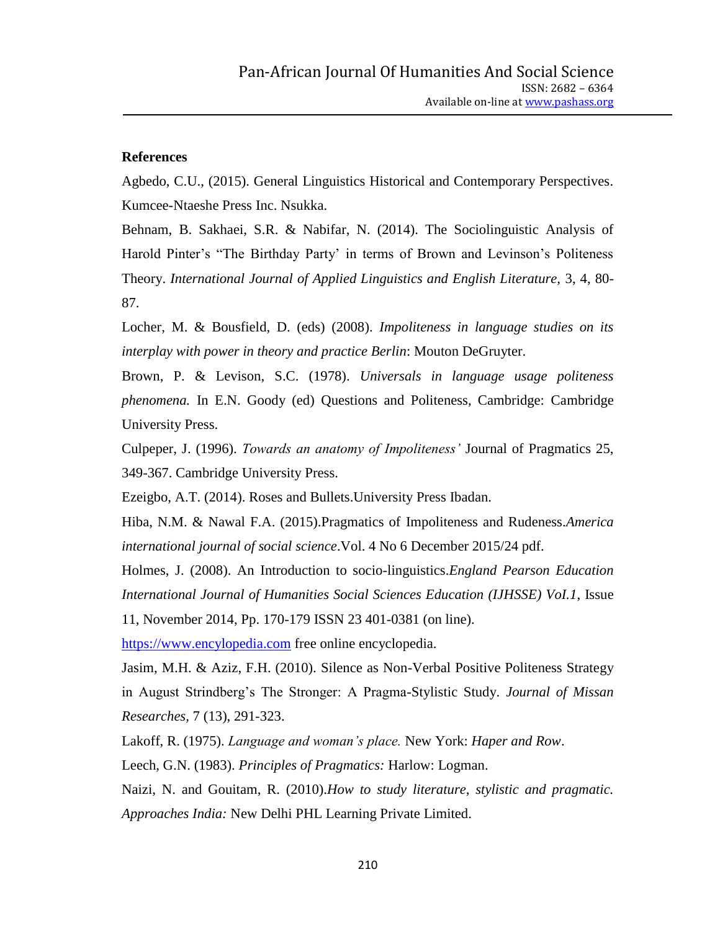#### **References**

Agbedo, C.U., (2015). General Linguistics Historical and Contemporary Perspectives. Kumcee-Ntaeshe Press Inc. Nsukka.

Behnam, B. Sakhaei, S.R. & Nabifar, N. (2014). The Sociolinguistic Analysis of Harold Pinter's "The Birthday Party' in terms of Brown and Levinson's Politeness Theory. *International Journal of Applied Linguistics and English Literature,* 3, 4, 80- 87.

Locher, M. & Bousfield, D. (eds) (2008). *Impoliteness in language studies on its interplay with power in theory and practice Berlin*: Mouton DeGruyter.

Brown, P. & Levison, S.C. (1978). *Universals in language usage politeness phenomena.* In E.N. Goody (ed) Questions and Politeness, Cambridge: Cambridge University Press.

Culpeper, J. (1996). *Towards an anatomy of Impoliteness'* Journal of Pragmatics 25, 349-367. Cambridge University Press.

Ezeigbo, A.T. (2014). Roses and Bullets.University Press Ibadan.

Hiba, N.M. & Nawal F.A. (2015).Pragmatics of Impoliteness and Rudeness.*America international journal of social science*.Vol. 4 No 6 December 2015/24 pdf.

Holmes, J. (2008). An Introduction to socio-linguistics.*England Pearson Education International Journal of Humanities Social Sciences Education (IJHSSE) VoI.1*, Issue

11, November 2014, Pp. 170-179 ISSN 23 401-0381 (on line).

[https://www.encylopedia.com](https://www.encylopedia.com/) free online encyclopedia.

Jasim, M.H. & Aziz, F.H. (2010). Silence as Non-Verbal Positive Politeness Strategy in August Strindberg"s The Stronger: A Pragma-Stylistic Study. *Journal of Missan Researches,* 7 (13), 291-323.

Lakoff, R. (1975). *Language and woman's place.* New York: *Haper and Row*.

Leech, G.N. (1983). *Principles of Pragmatics:* Harlow: Logman.

Naizi, N. and Gouitam, R. (2010).*How to study literature, stylistic and pragmatic. Approaches India:* New Delhi PHL Learning Private Limited.